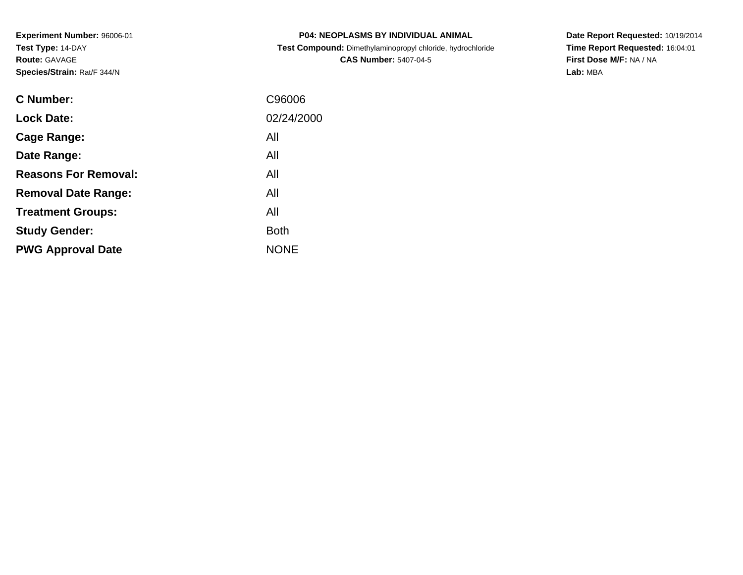| <b>P04: NEOPLASMS BY INDIVIDUAL ANIMAL</b>                 |
|------------------------------------------------------------|
| Test Compound: Dimethylaminopropyl chloride, hydrochloride |
| <b>CAS Number: 5407-04-5</b>                               |

**Date Report Requested:** 10/19/2014 **Time Report Requested:** 16:04:01**First Dose M/F:** NA / NA**Lab:** MBA

| <b>C</b> Number:            | C96006      |
|-----------------------------|-------------|
| <b>Lock Date:</b>           | 02/24/2000  |
| Cage Range:                 | All         |
| Date Range:                 | All         |
| <b>Reasons For Removal:</b> | All         |
| <b>Removal Date Range:</b>  | All         |
| <b>Treatment Groups:</b>    | All         |
| <b>Study Gender:</b>        | <b>Both</b> |
| <b>PWG Approval Date</b>    | <b>NONE</b> |
|                             |             |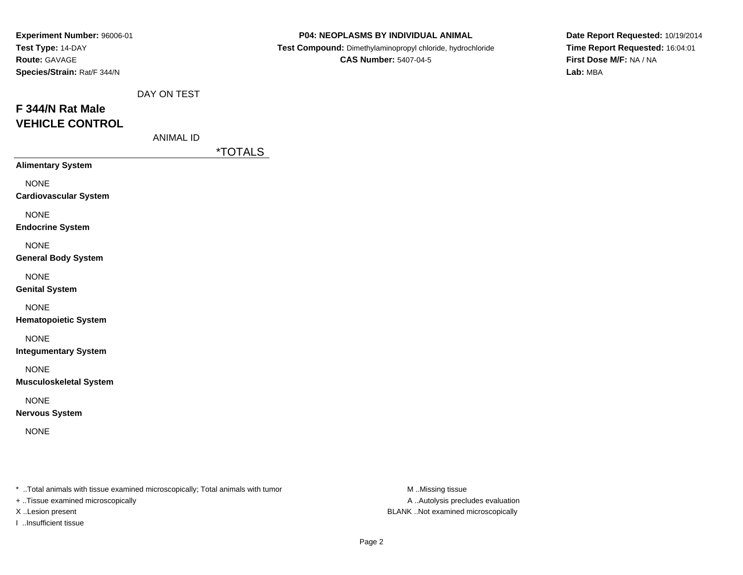| Experiment Number: 96006-01<br>Test Type: 14-DAY<br>Route: GAVAGE<br>Species/Strain: Rat/F 344/N |                  |                       | P04: NEOPLASMS BY INDIVIDUAL ANIMAL<br>Test Compound: Dimethylaminopropyl chloride, hydrochloride<br><b>CAS Number: 5407-04-5</b> | Date Report Requested: 10/19/2014<br>Time Report Requested: 16:04:01<br>First Dose M/F: NA / NA<br>Lab: MBA |
|--------------------------------------------------------------------------------------------------|------------------|-----------------------|-----------------------------------------------------------------------------------------------------------------------------------|-------------------------------------------------------------------------------------------------------------|
| F 344/N Rat Male<br><b>VEHICLE CONTROL</b>                                                       | DAY ON TEST      |                       |                                                                                                                                   |                                                                                                             |
|                                                                                                  | <b>ANIMAL ID</b> | <i><b>*TOTALS</b></i> |                                                                                                                                   |                                                                                                             |
| <b>Alimentary System</b>                                                                         |                  |                       |                                                                                                                                   |                                                                                                             |
| <b>NONE</b><br><b>Cardiovascular System</b>                                                      |                  |                       |                                                                                                                                   |                                                                                                             |
| <b>NONE</b><br><b>Endocrine System</b>                                                           |                  |                       |                                                                                                                                   |                                                                                                             |
| <b>NONE</b><br><b>General Body System</b>                                                        |                  |                       |                                                                                                                                   |                                                                                                             |
| <b>NONE</b><br><b>Genital System</b>                                                             |                  |                       |                                                                                                                                   |                                                                                                             |
| <b>NONE</b><br><b>Hematopoietic System</b>                                                       |                  |                       |                                                                                                                                   |                                                                                                             |
| <b>NONE</b><br><b>Integumentary System</b>                                                       |                  |                       |                                                                                                                                   |                                                                                                             |
| <b>NONE</b><br><b>Musculoskeletal System</b>                                                     |                  |                       |                                                                                                                                   |                                                                                                             |
| <b>NONE</b><br><b>Nervous System</b>                                                             |                  |                       |                                                                                                                                   |                                                                                                             |
| <b>NONE</b>                                                                                      |                  |                       |                                                                                                                                   |                                                                                                             |
|                                                                                                  |                  |                       |                                                                                                                                   |                                                                                                             |

+ ..Tissue examined microscopically

I ..Insufficient tissue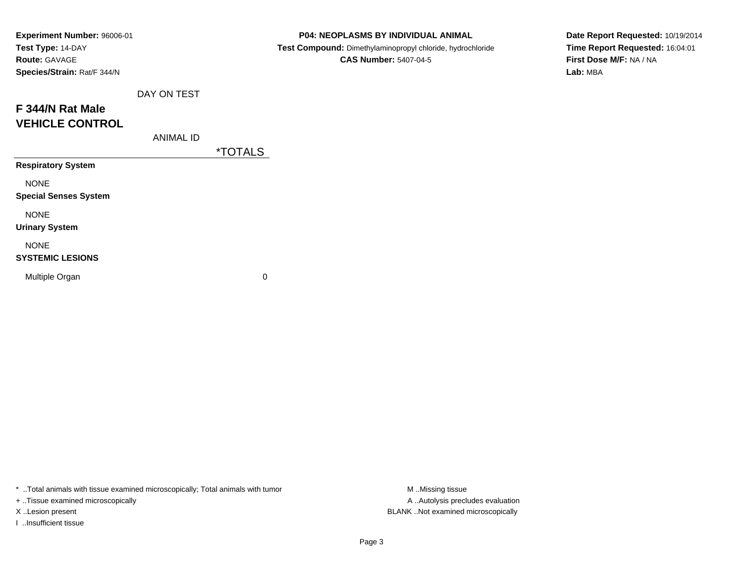| Experiment Number: 96006-01  |             |                       | P04: NEOPLASMS BY INDIVIDUAL ANIMAL                        | Date Report Requested: 10/19/2014 |
|------------------------------|-------------|-----------------------|------------------------------------------------------------|-----------------------------------|
| Test Type: 14-DAY            |             |                       | Test Compound: Dimethylaminopropyl chloride, hydrochloride | Time Report Requested: 16:04:01   |
| Route: GAVAGE                |             |                       | <b>CAS Number: 5407-04-5</b>                               | First Dose M/F: NA / NA           |
| Species/Strain: Rat/F 344/N  |             |                       |                                                            | Lab: MBA                          |
|                              | DAY ON TEST |                       |                                                            |                                   |
| F 344/N Rat Male             |             |                       |                                                            |                                   |
| <b>VEHICLE CONTROL</b>       |             |                       |                                                            |                                   |
|                              | ANIMAL ID   |                       |                                                            |                                   |
|                              |             | <i><b>*TOTALS</b></i> |                                                            |                                   |
| <b>Respiratory System</b>    |             |                       |                                                            |                                   |
| <b>NONE</b>                  |             |                       |                                                            |                                   |
| <b>Special Senses System</b> |             |                       |                                                            |                                   |
| <b>NONE</b>                  |             |                       |                                                            |                                   |
| <b>Urinary System</b>        |             |                       |                                                            |                                   |
| <b>NONE</b>                  |             |                       |                                                            |                                   |
| <b>SYSTEMIC LESIONS</b>      |             |                       |                                                            |                                   |
| Multiple Organ               |             | 0                     |                                                            |                                   |
|                              |             |                       |                                                            |                                   |

+ ..Tissue examined microscopically

I ..Insufficient tissue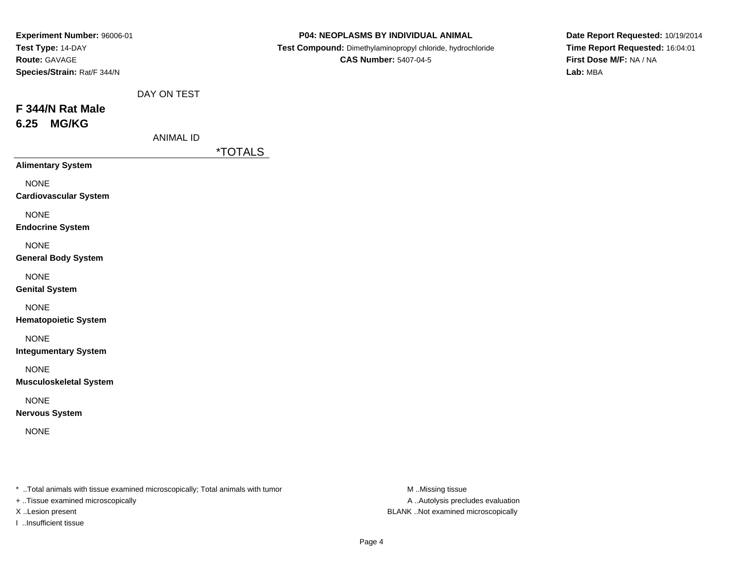| Experiment Number: 96006-01<br>Test Type: 14-DAY<br>Route: GAVAGE<br>Species/Strain: Rat/F 344/N |                  |                       | P04: NEOPLASMS BY INDIVIDUAL ANIMAL<br>Test Compound: Dimethylaminopropyl chloride, hydrochloride<br><b>CAS Number: 5407-04-5</b> | Date Report Requested: 10/19/2014<br>Time Report Requested: 16:04:01<br>First Dose M/F: NA / NA<br>Lab: MBA |
|--------------------------------------------------------------------------------------------------|------------------|-----------------------|-----------------------------------------------------------------------------------------------------------------------------------|-------------------------------------------------------------------------------------------------------------|
|                                                                                                  | DAY ON TEST      |                       |                                                                                                                                   |                                                                                                             |
| F 344/N Rat Male                                                                                 |                  |                       |                                                                                                                                   |                                                                                                             |
| <b>MG/KG</b><br>6.25                                                                             |                  |                       |                                                                                                                                   |                                                                                                             |
|                                                                                                  | <b>ANIMAL ID</b> |                       |                                                                                                                                   |                                                                                                             |
| <b>Alimentary System</b>                                                                         |                  | <i><b>*TOTALS</b></i> |                                                                                                                                   |                                                                                                             |
| <b>NONE</b><br><b>Cardiovascular System</b>                                                      |                  |                       |                                                                                                                                   |                                                                                                             |
| <b>NONE</b><br><b>Endocrine System</b>                                                           |                  |                       |                                                                                                                                   |                                                                                                             |
| <b>NONE</b><br><b>General Body System</b>                                                        |                  |                       |                                                                                                                                   |                                                                                                             |
| <b>NONE</b><br><b>Genital System</b>                                                             |                  |                       |                                                                                                                                   |                                                                                                             |
| <b>NONE</b><br><b>Hematopoietic System</b>                                                       |                  |                       |                                                                                                                                   |                                                                                                             |
| <b>NONE</b><br><b>Integumentary System</b>                                                       |                  |                       |                                                                                                                                   |                                                                                                             |
| <b>NONE</b><br><b>Musculoskeletal System</b>                                                     |                  |                       |                                                                                                                                   |                                                                                                             |
| <b>NONE</b><br><b>Nervous System</b>                                                             |                  |                       |                                                                                                                                   |                                                                                                             |
|                                                                                                  |                  |                       |                                                                                                                                   |                                                                                                             |

+ ..Tissue examined microscopically

I ..Insufficient tissue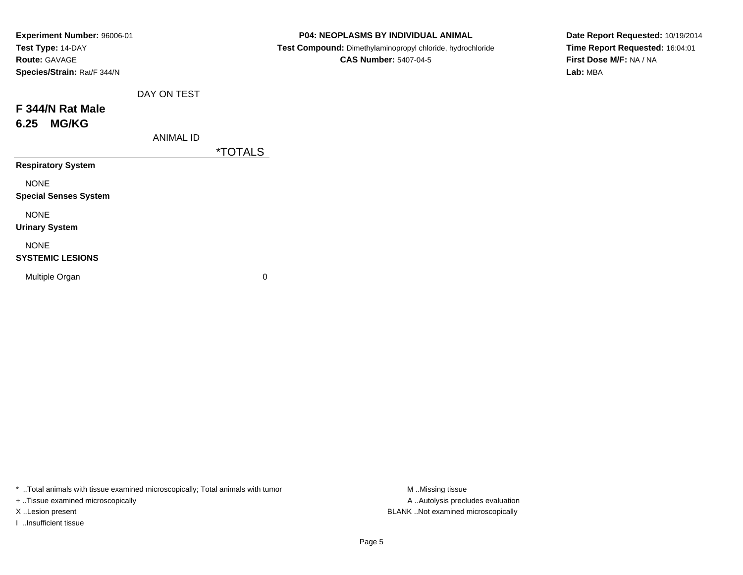| Experiment Number: 96006-01  |                       | P04: NEOPLASMS BY INDIVIDUAL ANIMAL                        | Date Report Requested: 10/19/2014 |
|------------------------------|-----------------------|------------------------------------------------------------|-----------------------------------|
| Test Type: 14-DAY            |                       | Test Compound: Dimethylaminopropyl chloride, hydrochloride | Time Report Requested: 16:04:01   |
| Route: GAVAGE                |                       | <b>CAS Number: 5407-04-5</b>                               | First Dose M/F: NA / NA           |
| Species/Strain: Rat/F 344/N  |                       |                                                            | Lab: MBA                          |
| DAY ON TEST                  |                       |                                                            |                                   |
| F 344/N Rat Male             |                       |                                                            |                                   |
| <b>MG/KG</b><br>6.25         |                       |                                                            |                                   |
| <b>ANIMAL ID</b>             |                       |                                                            |                                   |
|                              | <i><b>*TOTALS</b></i> |                                                            |                                   |
| <b>Respiratory System</b>    |                       |                                                            |                                   |
| <b>NONE</b>                  |                       |                                                            |                                   |
| <b>Special Senses System</b> |                       |                                                            |                                   |
| <b>NONE</b>                  |                       |                                                            |                                   |
| <b>Urinary System</b>        |                       |                                                            |                                   |
| <b>NONE</b>                  |                       |                                                            |                                   |
| <b>SYSTEMIC LESIONS</b>      |                       |                                                            |                                   |
| Multiple Organ               | 0                     |                                                            |                                   |
|                              |                       |                                                            |                                   |

+ ..Tissue examined microscopically

I ..Insufficient tissue

A ..Autolysis precludes evaluation X ..Lesion present BLANK ..Not examined microscopically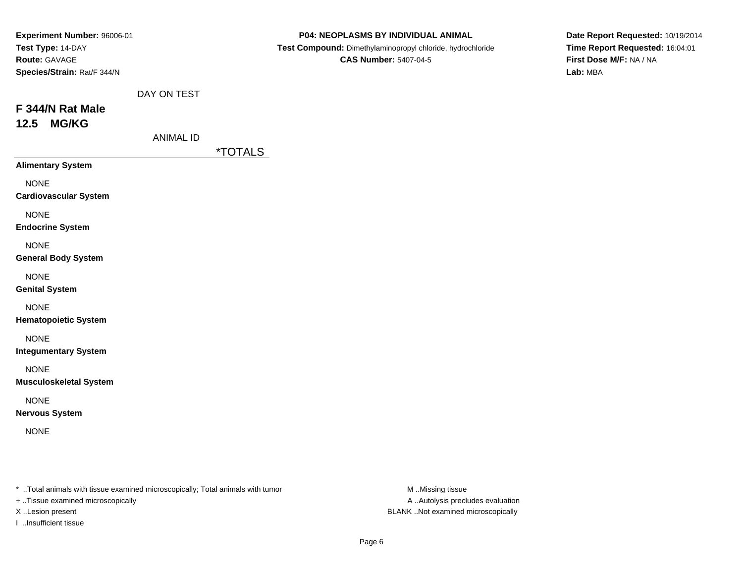| Experiment Number: 96006-01<br>Test Type: 14-DAY<br>Route: GAVAGE<br>Species/Strain: Rat/F 344/N |                  |                       | P04: NEOPLASMS BY INDIVIDUAL ANIMAL<br>Test Compound: Dimethylaminopropyl chloride, hydrochloride<br><b>CAS Number: 5407-04-5</b> | Date Report Requested: 10/19/2014<br>Time Report Requested: 16:04:01<br>First Dose M/F: NA / NA<br>Lab: MBA |
|--------------------------------------------------------------------------------------------------|------------------|-----------------------|-----------------------------------------------------------------------------------------------------------------------------------|-------------------------------------------------------------------------------------------------------------|
| F 344/N Rat Male<br><b>MG/KG</b><br>12.5                                                         | DAY ON TEST      |                       |                                                                                                                                   |                                                                                                             |
|                                                                                                  | <b>ANIMAL ID</b> | <i><b>*TOTALS</b></i> |                                                                                                                                   |                                                                                                             |
| <b>Alimentary System</b>                                                                         |                  |                       |                                                                                                                                   |                                                                                                             |
| <b>NONE</b><br><b>Cardiovascular System</b>                                                      |                  |                       |                                                                                                                                   |                                                                                                             |
| <b>NONE</b><br><b>Endocrine System</b>                                                           |                  |                       |                                                                                                                                   |                                                                                                             |
| <b>NONE</b><br><b>General Body System</b>                                                        |                  |                       |                                                                                                                                   |                                                                                                             |
| <b>NONE</b><br><b>Genital System</b>                                                             |                  |                       |                                                                                                                                   |                                                                                                             |
| <b>NONE</b><br><b>Hematopoietic System</b>                                                       |                  |                       |                                                                                                                                   |                                                                                                             |
| <b>NONE</b><br><b>Integumentary System</b>                                                       |                  |                       |                                                                                                                                   |                                                                                                             |
| <b>NONE</b><br><b>Musculoskeletal System</b>                                                     |                  |                       |                                                                                                                                   |                                                                                                             |
| <b>NONE</b><br><b>Nervous System</b>                                                             |                  |                       |                                                                                                                                   |                                                                                                             |
| <b>NONE</b>                                                                                      |                  |                       |                                                                                                                                   |                                                                                                             |
|                                                                                                  |                  |                       |                                                                                                                                   |                                                                                                             |

+ ..Tissue examined microscopically

I ..Insufficient tissue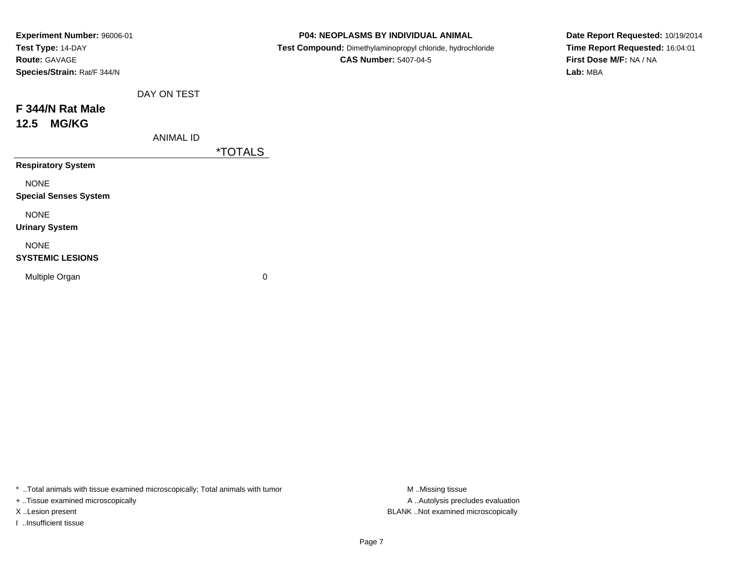| Experiment Number: 96006-01  |                  |                       | P04: NEOPLASMS BY INDIVIDUAL ANIMAL                        | Date Report Requested: 10/19/2014 |
|------------------------------|------------------|-----------------------|------------------------------------------------------------|-----------------------------------|
| Test Type: 14-DAY            |                  |                       | Test Compound: Dimethylaminopropyl chloride, hydrochloride | Time Report Requested: 16:04:01   |
| Route: GAVAGE                |                  |                       | <b>CAS Number: 5407-04-5</b>                               | First Dose M/F: NA / NA           |
| Species/Strain: Rat/F 344/N  |                  |                       |                                                            | Lab: MBA                          |
|                              | DAY ON TEST      |                       |                                                            |                                   |
| F 344/N Rat Male             |                  |                       |                                                            |                                   |
| <b>MG/KG</b><br>12.5         |                  |                       |                                                            |                                   |
|                              | <b>ANIMAL ID</b> |                       |                                                            |                                   |
|                              |                  | <i><b>*TOTALS</b></i> |                                                            |                                   |
| <b>Respiratory System</b>    |                  |                       |                                                            |                                   |
| <b>NONE</b>                  |                  |                       |                                                            |                                   |
| <b>Special Senses System</b> |                  |                       |                                                            |                                   |
| <b>NONE</b>                  |                  |                       |                                                            |                                   |
| <b>Urinary System</b>        |                  |                       |                                                            |                                   |
| <b>NONE</b>                  |                  |                       |                                                            |                                   |
| <b>SYSTEMIC LESIONS</b>      |                  |                       |                                                            |                                   |
| Multiple Organ               |                  | 0                     |                                                            |                                   |
|                              |                  |                       |                                                            |                                   |

+ ..Tissue examined microscopically

I ..Insufficient tissue

A ..Autolysis precludes evaluation X ..Lesion present BLANK ..Not examined microscopically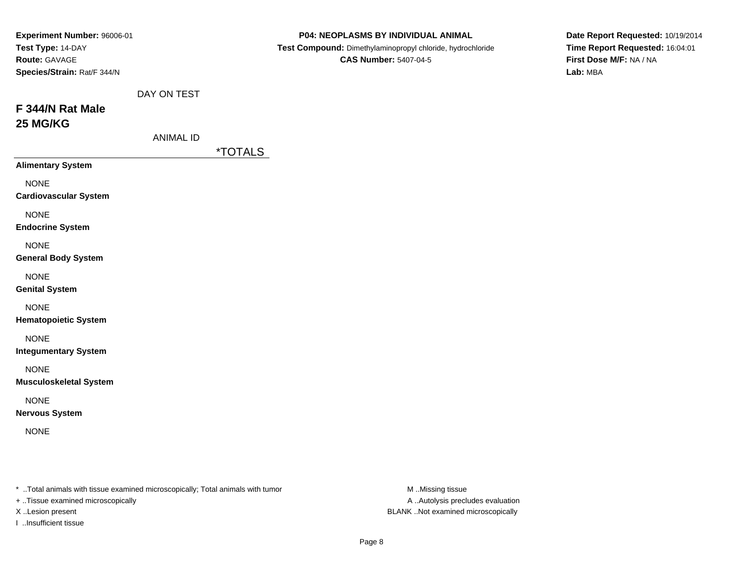| Experiment Number: 96006-01<br>Test Type: 14-DAY<br>Route: GAVAGE<br>Species/Strain: Rat/F 344/N |                  |                       | P04: NEOPLASMS BY INDIVIDUAL ANIMAL<br>Test Compound: Dimethylaminopropyl chloride, hydrochloride<br><b>CAS Number: 5407-04-5</b> | Date Report Requested: 10/19/2014<br>Time Report Requested: 16:04:01<br>First Dose M/F: NA / NA<br>Lab: MBA |
|--------------------------------------------------------------------------------------------------|------------------|-----------------------|-----------------------------------------------------------------------------------------------------------------------------------|-------------------------------------------------------------------------------------------------------------|
| F 344/N Rat Male<br>25 MG/KG                                                                     | DAY ON TEST      |                       |                                                                                                                                   |                                                                                                             |
|                                                                                                  | <b>ANIMAL ID</b> | <i><b>*TOTALS</b></i> |                                                                                                                                   |                                                                                                             |
| <b>Alimentary System</b>                                                                         |                  |                       |                                                                                                                                   |                                                                                                             |
| <b>NONE</b><br><b>Cardiovascular System</b>                                                      |                  |                       |                                                                                                                                   |                                                                                                             |
| <b>NONE</b><br><b>Endocrine System</b>                                                           |                  |                       |                                                                                                                                   |                                                                                                             |
| <b>NONE</b><br><b>General Body System</b>                                                        |                  |                       |                                                                                                                                   |                                                                                                             |
| <b>NONE</b><br><b>Genital System</b>                                                             |                  |                       |                                                                                                                                   |                                                                                                             |
| <b>NONE</b><br><b>Hematopoietic System</b>                                                       |                  |                       |                                                                                                                                   |                                                                                                             |
| <b>NONE</b><br><b>Integumentary System</b>                                                       |                  |                       |                                                                                                                                   |                                                                                                             |
| <b>NONE</b><br><b>Musculoskeletal System</b>                                                     |                  |                       |                                                                                                                                   |                                                                                                             |
| <b>NONE</b><br><b>Nervous System</b>                                                             |                  |                       |                                                                                                                                   |                                                                                                             |
| <b>NONE</b>                                                                                      |                  |                       |                                                                                                                                   |                                                                                                             |
|                                                                                                  |                  |                       |                                                                                                                                   |                                                                                                             |
|                                                                                                  |                  |                       |                                                                                                                                   |                                                                                                             |

+ ..Tissue examined microscopically

I ..Insufficient tissue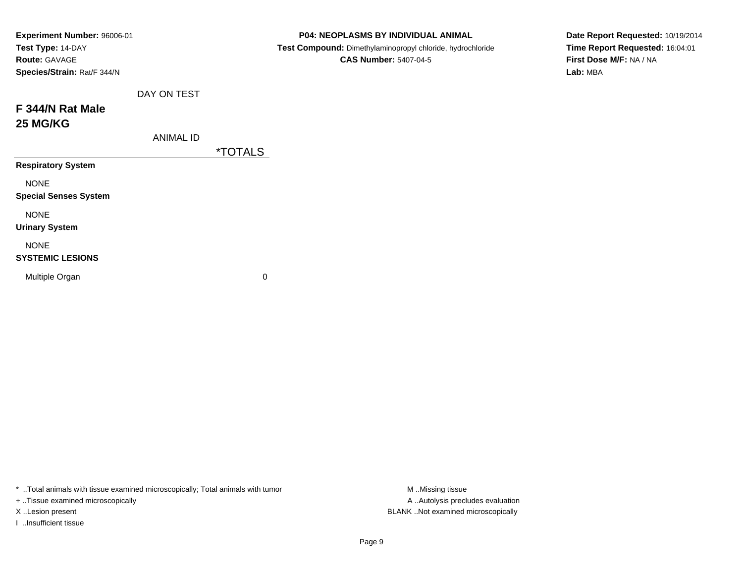| Experiment Number: 96006-01  |                  |                       | P04: NEOPLASMS BY INDIVIDUAL ANIMAL                        |  | Date Report Requested: 10/19/2014 |
|------------------------------|------------------|-----------------------|------------------------------------------------------------|--|-----------------------------------|
| Test Type: 14-DAY            |                  |                       | Test Compound: Dimethylaminopropyl chloride, hydrochloride |  | Time Report Requested: 16:04:01   |
| Route: GAVAGE                |                  |                       | <b>CAS Number: 5407-04-5</b>                               |  | First Dose M/F: NA / NA           |
| Species/Strain: Rat/F 344/N  |                  |                       |                                                            |  | Lab: MBA                          |
|                              | DAY ON TEST      |                       |                                                            |  |                                   |
| F 344/N Rat Male             |                  |                       |                                                            |  |                                   |
| <b>25 MG/KG</b>              |                  |                       |                                                            |  |                                   |
|                              | <b>ANIMAL ID</b> |                       |                                                            |  |                                   |
|                              |                  | <i><b>*TOTALS</b></i> |                                                            |  |                                   |
| <b>Respiratory System</b>    |                  |                       |                                                            |  |                                   |
| <b>NONE</b>                  |                  |                       |                                                            |  |                                   |
| <b>Special Senses System</b> |                  |                       |                                                            |  |                                   |
| <b>NONE</b>                  |                  |                       |                                                            |  |                                   |
| <b>Urinary System</b>        |                  |                       |                                                            |  |                                   |
| <b>NONE</b>                  |                  |                       |                                                            |  |                                   |
| <b>SYSTEMIC LESIONS</b>      |                  |                       |                                                            |  |                                   |
| Multiple Organ               |                  | $\mathbf 0$           |                                                            |  |                                   |
|                              |                  |                       |                                                            |  |                                   |

+ ..Tissue examined microscopically

I ..Insufficient tissue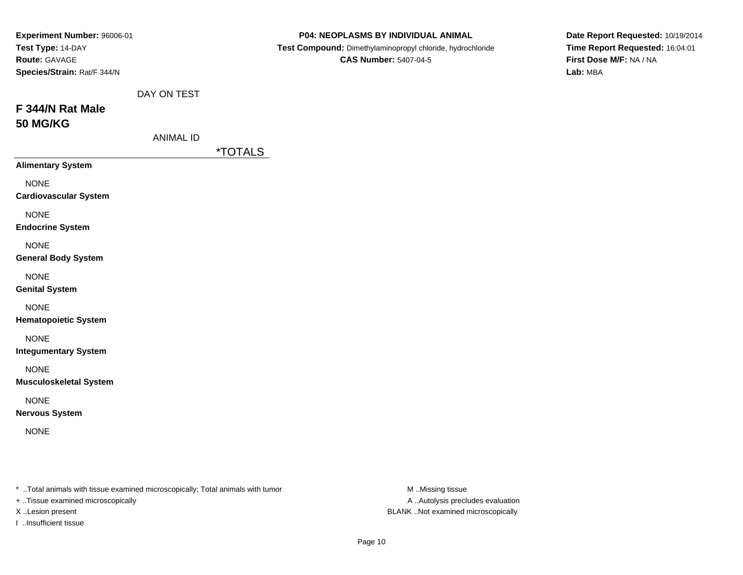| Experiment Number: 96006-01<br>Test Type: 14-DAY<br>Route: GAVAGE<br>Species/Strain: Rat/F 344/N |                                 |                       | P04: NEOPLASMS BY INDIVIDUAL ANIMAL<br>Test Compound: Dimethylaminopropyl chloride, hydrochloride<br><b>CAS Number: 5407-04-5</b> | Date Report Requested: 10/19/2014<br>Time Report Requested: 16:04:01<br>First Dose M/F: NA / NA<br>Lab: MBA |
|--------------------------------------------------------------------------------------------------|---------------------------------|-----------------------|-----------------------------------------------------------------------------------------------------------------------------------|-------------------------------------------------------------------------------------------------------------|
| F 344/N Rat Male<br><b>50 MG/KG</b>                                                              | DAY ON TEST<br><b>ANIMAL ID</b> |                       |                                                                                                                                   |                                                                                                             |
|                                                                                                  |                                 | <i><b>*TOTALS</b></i> |                                                                                                                                   |                                                                                                             |
| <b>Alimentary System</b><br><b>NONE</b><br><b>Cardiovascular System</b>                          |                                 |                       |                                                                                                                                   |                                                                                                             |
| <b>NONE</b><br><b>Endocrine System</b>                                                           |                                 |                       |                                                                                                                                   |                                                                                                             |
| <b>NONE</b><br><b>General Body System</b>                                                        |                                 |                       |                                                                                                                                   |                                                                                                             |
| <b>NONE</b><br><b>Genital System</b>                                                             |                                 |                       |                                                                                                                                   |                                                                                                             |
| <b>NONE</b><br><b>Hematopoietic System</b>                                                       |                                 |                       |                                                                                                                                   |                                                                                                             |
| <b>NONE</b><br><b>Integumentary System</b>                                                       |                                 |                       |                                                                                                                                   |                                                                                                             |
| <b>NONE</b><br><b>Musculoskeletal System</b>                                                     |                                 |                       |                                                                                                                                   |                                                                                                             |
| <b>NONE</b><br><b>Nervous System</b>                                                             |                                 |                       |                                                                                                                                   |                                                                                                             |
| <b>NONE</b>                                                                                      |                                 |                       |                                                                                                                                   |                                                                                                             |
|                                                                                                  |                                 |                       |                                                                                                                                   |                                                                                                             |

+ ..Tissue examined microscopically

I ..Insufficient tissue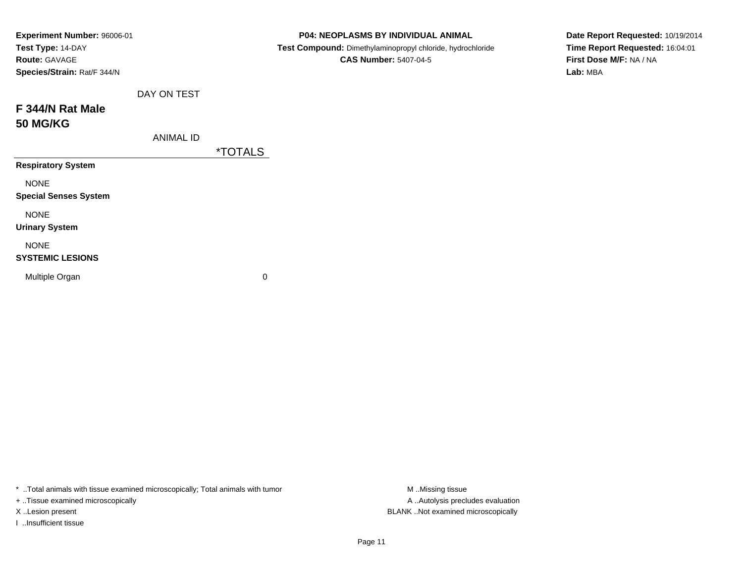| Experiment Number: 96006-01  |                  |                       | <b>P04: NEOPLASMS BY INDIVIDUAL ANIMAL</b>                 | Date Report Requested: 10/19/2014 |
|------------------------------|------------------|-----------------------|------------------------------------------------------------|-----------------------------------|
| Test Type: 14-DAY            |                  |                       | Test Compound: Dimethylaminopropyl chloride, hydrochloride | Time Report Requested: 16:04:01   |
| <b>Route: GAVAGE</b>         |                  |                       | <b>CAS Number: 5407-04-5</b>                               | First Dose M/F: NA / NA           |
| Species/Strain: Rat/F 344/N  |                  |                       |                                                            | Lab: MBA                          |
|                              | DAY ON TEST      |                       |                                                            |                                   |
| F 344/N Rat Male             |                  |                       |                                                            |                                   |
| <b>50 MG/KG</b>              |                  |                       |                                                            |                                   |
|                              | <b>ANIMAL ID</b> |                       |                                                            |                                   |
|                              |                  | <i><b>*TOTALS</b></i> |                                                            |                                   |
| <b>Respiratory System</b>    |                  |                       |                                                            |                                   |
| <b>NONE</b>                  |                  |                       |                                                            |                                   |
| <b>Special Senses System</b> |                  |                       |                                                            |                                   |
| <b>NONE</b>                  |                  |                       |                                                            |                                   |
| <b>Urinary System</b>        |                  |                       |                                                            |                                   |
| <b>NONE</b>                  |                  |                       |                                                            |                                   |
| <b>SYSTEMIC LESIONS</b>      |                  |                       |                                                            |                                   |
| Multiple Organ               |                  | $\mathbf 0$           |                                                            |                                   |
|                              |                  |                       |                                                            |                                   |

+ ..Tissue examined microscopically

I ..Insufficient tissue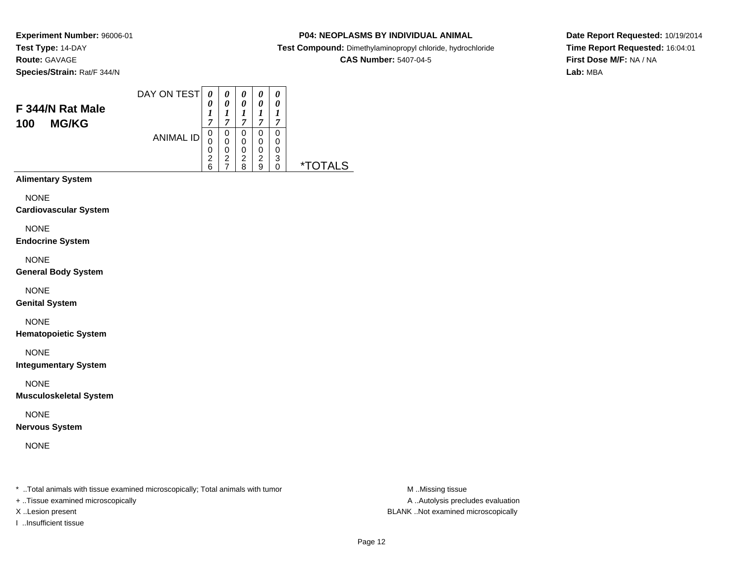# **P04: NEOPLASMS BY INDIVIDUAL ANIMAL**

**Test Compound:** Dimethylaminopropyl chloride, hydrochloride

### **CAS Number:** 5407-04-5

**Date Report Requested:** 10/19/2014**Time Report Requested:** 16:04:01**First Dose M/F:** NA / NA**Lab:** MBA

#### DAY ON TEST**F 344/N Rat Male100 MG/KG**ANIMAL ID*0 0 1 7* 0 0 0 2 6*0 0 1 7*0<br>0<br>0<br>2<br>7 *0 0 1 7* 0 0 0 2 8*0 0 1 7* 0 0 0 2 9*0 0 1 7* 0 0 0 3 0 \*TOTALS**Alimentary System**

NONE

**Cardiovascular System**

NONE

**Endocrine System**

NONE

**General Body System**

NONE

**Genital System**

NONE

**Hematopoietic System**

NONE

**Integumentary System**

NONE

**Musculoskeletal System**

NONE

**Nervous System**

NONE

\* ..Total animals with tissue examined microscopically; Total animals with tumor **M** ..Missing tissue M ..Missing tissue

+ ..Tissue examined microscopically

I ..Insufficient tissue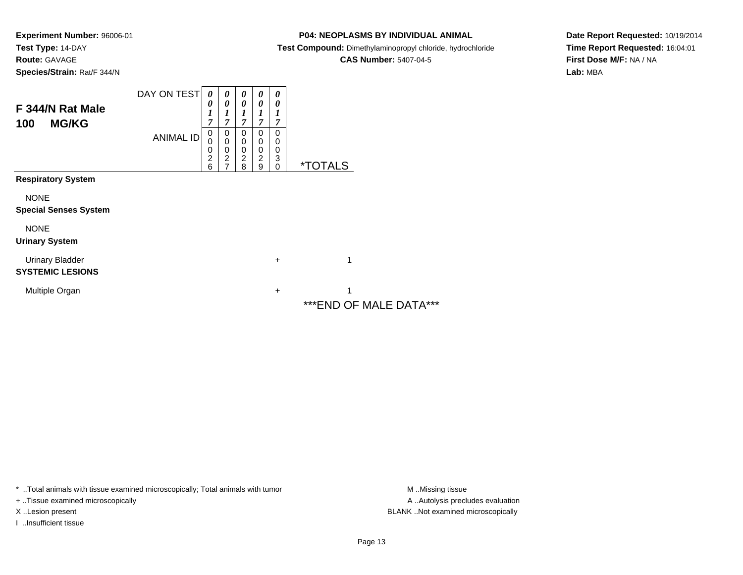**P04: NEOPLASMS BY INDIVIDUAL ANIMAL**

**Test Compound:** Dimethylaminopropyl chloride, hydrochloride

**CAS Number:** 5407-04-5

**Date Report Requested:** 10/19/2014**Time Report Requested:** 16:04:01**First Dose M/F:** NA / NA**Lab:** MBA

| F 344/N Rat Male<br><b>MG/KG</b><br>100           | DAY ON TEST      | $\boldsymbol{\theta}$<br>0<br>1<br>7         | 0<br>0<br>7                                                       | 0<br>0<br>1<br>7                                    | $\boldsymbol{\theta}$<br>0<br>7              | $\boldsymbol{\theta}$<br>$\boldsymbol{\theta}$<br>1<br>7 |                             |
|---------------------------------------------------|------------------|----------------------------------------------|-------------------------------------------------------------------|-----------------------------------------------------|----------------------------------------------|----------------------------------------------------------|-----------------------------|
|                                                   | <b>ANIMAL ID</b> | $\mathbf 0$<br>0<br>0<br>$\overline{c}$<br>6 | 0<br>$\mathbf 0$<br>$\pmb{0}$<br>$\overline{2}$<br>$\overline{ }$ | $\Omega$<br>0<br>$\mathbf 0$<br>$\overline{2}$<br>8 | 0<br>0<br>$\mathbf 0$<br>$\overline{c}$<br>9 | 0<br>0<br>0<br>3<br>$\mathbf 0$                          | <i><b>*TOTALS</b></i>       |
| <b>Respiratory System</b>                         |                  |                                              |                                                                   |                                                     |                                              |                                                          |                             |
| <b>NONE</b><br><b>Special Senses System</b>       |                  |                                              |                                                                   |                                                     |                                              |                                                          |                             |
| <b>NONE</b><br><b>Urinary System</b>              |                  |                                              |                                                                   |                                                     |                                              |                                                          |                             |
| <b>Urinary Bladder</b><br><b>SYSTEMIC LESIONS</b> |                  |                                              |                                                                   |                                                     |                                              | $\ddot{}$                                                | 1                           |
| Multiple Organ                                    |                  |                                              |                                                                   |                                                     |                                              | $\ddot{}$                                                | 4<br>***END OF MALE DATA*** |

\* ..Total animals with tissue examined microscopically; Total animals with tumor **M** . Missing tissue M ..Missing tissue

+ ..Tissue examined microscopically

I ..Insufficient tissue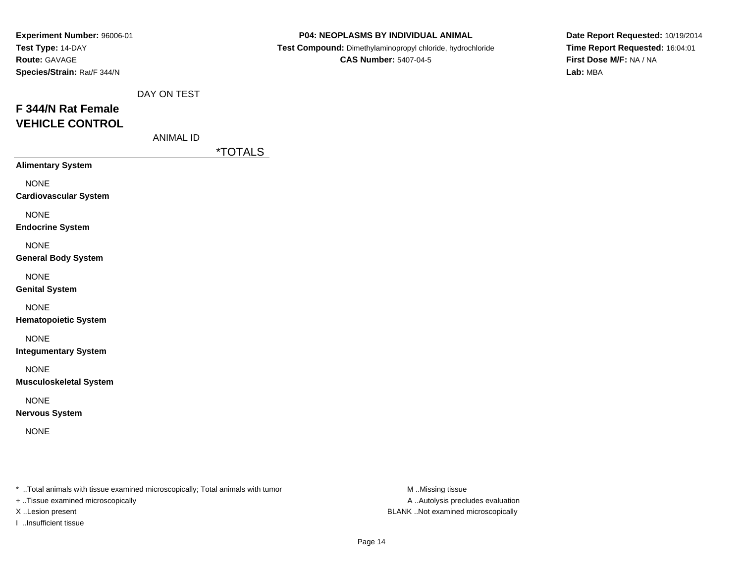| Experiment Number: 96006-01<br>Test Type: 14-DAY<br>Route: GAVAGE<br>Species/Strain: Rat/F 344/N |                  |                       | P04: NEOPLASMS BY INDIVIDUAL ANIMAL<br>Test Compound: Dimethylaminopropyl chloride, hydrochloride<br><b>CAS Number: 5407-04-5</b> | Date Report Requested: 10/19/2014<br>Time Report Requested: 16:04:01<br>First Dose M/F: NA / NA<br>Lab: MBA |
|--------------------------------------------------------------------------------------------------|------------------|-----------------------|-----------------------------------------------------------------------------------------------------------------------------------|-------------------------------------------------------------------------------------------------------------|
|                                                                                                  | DAY ON TEST      |                       |                                                                                                                                   |                                                                                                             |
| F 344/N Rat Female                                                                               |                  |                       |                                                                                                                                   |                                                                                                             |
| <b>VEHICLE CONTROL</b>                                                                           |                  |                       |                                                                                                                                   |                                                                                                             |
|                                                                                                  | <b>ANIMAL ID</b> |                       |                                                                                                                                   |                                                                                                             |
| <b>Alimentary System</b>                                                                         |                  | <i><b>*TOTALS</b></i> |                                                                                                                                   |                                                                                                             |
|                                                                                                  |                  |                       |                                                                                                                                   |                                                                                                             |
| <b>NONE</b><br><b>Cardiovascular System</b>                                                      |                  |                       |                                                                                                                                   |                                                                                                             |
| <b>NONE</b><br><b>Endocrine System</b>                                                           |                  |                       |                                                                                                                                   |                                                                                                             |
| <b>NONE</b><br><b>General Body System</b>                                                        |                  |                       |                                                                                                                                   |                                                                                                             |
| <b>NONE</b><br><b>Genital System</b>                                                             |                  |                       |                                                                                                                                   |                                                                                                             |
| <b>NONE</b><br><b>Hematopoietic System</b>                                                       |                  |                       |                                                                                                                                   |                                                                                                             |
| <b>NONE</b><br><b>Integumentary System</b>                                                       |                  |                       |                                                                                                                                   |                                                                                                             |
| <b>NONE</b><br><b>Musculoskeletal System</b>                                                     |                  |                       |                                                                                                                                   |                                                                                                             |
| <b>NONE</b><br><b>Nervous System</b>                                                             |                  |                       |                                                                                                                                   |                                                                                                             |
| <b>NONE</b>                                                                                      |                  |                       |                                                                                                                                   |                                                                                                             |
|                                                                                                  |                  |                       |                                                                                                                                   |                                                                                                             |

+ ..Tissue examined microscopically

I ..Insufficient tissue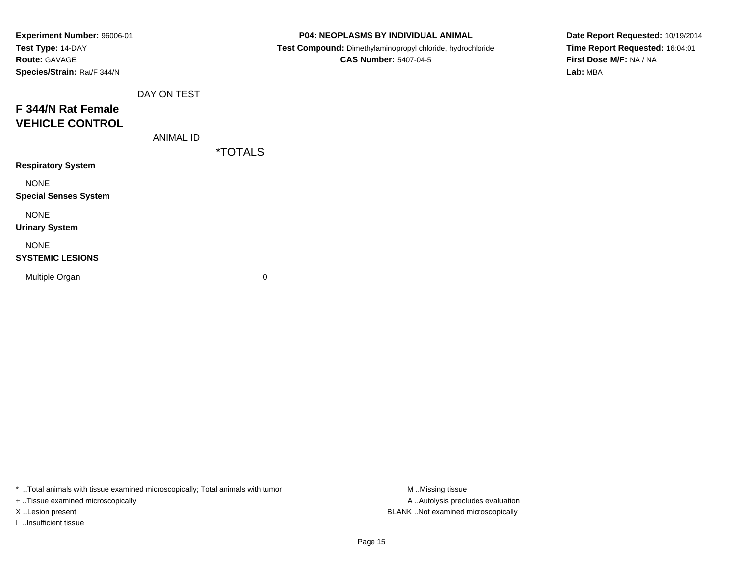| Experiment Number: 96006-01  |             |                       | P04: NEOPLASMS BY INDIVIDUAL ANIMAL                        | Date Report Requested: 10/19/2014 |
|------------------------------|-------------|-----------------------|------------------------------------------------------------|-----------------------------------|
| Test Type: 14-DAY            |             |                       | Test Compound: Dimethylaminopropyl chloride, hydrochloride | Time Report Requested: 16:04:01   |
| <b>Route: GAVAGE</b>         |             |                       | <b>CAS Number: 5407-04-5</b>                               | First Dose M/F: NA / NA           |
| Species/Strain: Rat/F 344/N  |             |                       |                                                            | Lab: MBA                          |
|                              | DAY ON TEST |                       |                                                            |                                   |
| F 344/N Rat Female           |             |                       |                                                            |                                   |
| <b>VEHICLE CONTROL</b>       |             |                       |                                                            |                                   |
|                              | ANIMAL ID   |                       |                                                            |                                   |
|                              |             | <i><b>*TOTALS</b></i> |                                                            |                                   |
| <b>Respiratory System</b>    |             |                       |                                                            |                                   |
| <b>NONE</b>                  |             |                       |                                                            |                                   |
| <b>Special Senses System</b> |             |                       |                                                            |                                   |
| <b>NONE</b>                  |             |                       |                                                            |                                   |
| <b>Urinary System</b>        |             |                       |                                                            |                                   |
| <b>NONE</b>                  |             |                       |                                                            |                                   |
| <b>SYSTEMIC LESIONS</b>      |             |                       |                                                            |                                   |
| Multiple Organ               |             | $\mathbf 0$           |                                                            |                                   |
|                              |             |                       |                                                            |                                   |

+ ..Tissue examined microscopically

I ..Insufficient tissue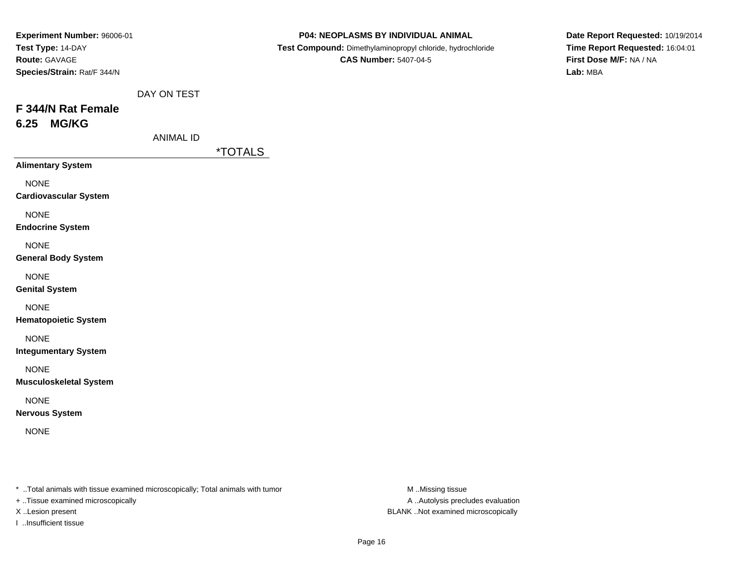| Experiment Number: 96006-01                                       |                  |                       | P04: NEOPLASMS BY INDIVIDUAL ANIMAL                                                        | Date Report Requested: 10/19/2014                                      |
|-------------------------------------------------------------------|------------------|-----------------------|--------------------------------------------------------------------------------------------|------------------------------------------------------------------------|
| Test Type: 14-DAY<br>Route: GAVAGE<br>Species/Strain: Rat/F 344/N |                  |                       | Test Compound: Dimethylaminopropyl chloride, hydrochloride<br><b>CAS Number: 5407-04-5</b> | Time Report Requested: 16:04:01<br>First Dose M/F: NA / NA<br>Lab: MBA |
|                                                                   | DAY ON TEST      |                       |                                                                                            |                                                                        |
| F 344/N Rat Female<br><b>MG/KG</b><br>6.25                        |                  |                       |                                                                                            |                                                                        |
|                                                                   | <b>ANIMAL ID</b> | <i><b>*TOTALS</b></i> |                                                                                            |                                                                        |
| <b>Alimentary System</b>                                          |                  |                       |                                                                                            |                                                                        |
| <b>NONE</b><br><b>Cardiovascular System</b>                       |                  |                       |                                                                                            |                                                                        |
| <b>NONE</b><br><b>Endocrine System</b>                            |                  |                       |                                                                                            |                                                                        |
| <b>NONE</b><br><b>General Body System</b>                         |                  |                       |                                                                                            |                                                                        |
| <b>NONE</b><br><b>Genital System</b>                              |                  |                       |                                                                                            |                                                                        |
| <b>NONE</b><br><b>Hematopoietic System</b>                        |                  |                       |                                                                                            |                                                                        |
| <b>NONE</b><br><b>Integumentary System</b>                        |                  |                       |                                                                                            |                                                                        |
| <b>NONE</b><br><b>Musculoskeletal System</b>                      |                  |                       |                                                                                            |                                                                        |
| <b>NONE</b><br><b>Nervous System</b>                              |                  |                       |                                                                                            |                                                                        |
|                                                                   |                  |                       |                                                                                            |                                                                        |

+ ..Tissue examined microscopically

I ..Insufficient tissue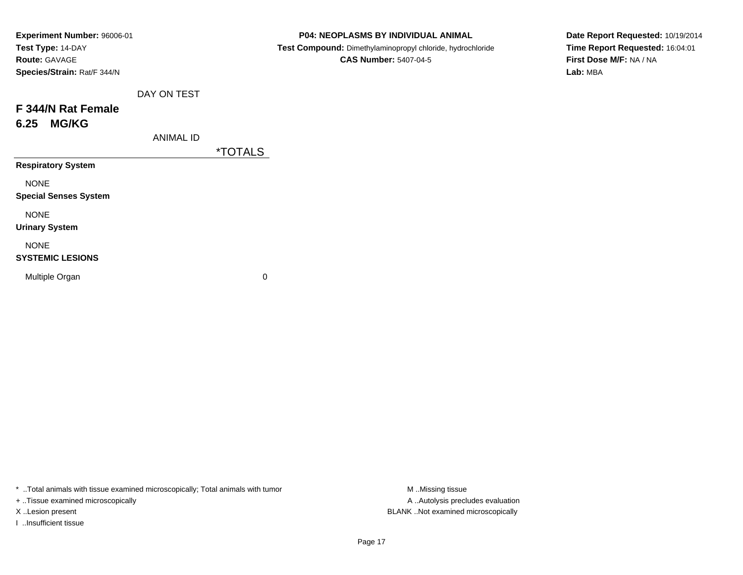| Experiment Number: 96006-01  |                  |                       | P04: NEOPLASMS BY INDIVIDUAL ANIMAL                        | Date Report Requested: 10/19/2014 |
|------------------------------|------------------|-----------------------|------------------------------------------------------------|-----------------------------------|
| Test Type: 14-DAY            |                  |                       | Test Compound: Dimethylaminopropyl chloride, hydrochloride | Time Report Requested: 16:04:01   |
| Route: GAVAGE                |                  |                       | <b>CAS Number: 5407-04-5</b>                               | First Dose M/F: NA / NA           |
| Species/Strain: Rat/F 344/N  |                  |                       |                                                            | Lab: MBA                          |
|                              | DAY ON TEST      |                       |                                                            |                                   |
| F 344/N Rat Female           |                  |                       |                                                            |                                   |
| <b>MG/KG</b><br>6.25         |                  |                       |                                                            |                                   |
|                              | <b>ANIMAL ID</b> |                       |                                                            |                                   |
|                              |                  | <i><b>*TOTALS</b></i> |                                                            |                                   |
| <b>Respiratory System</b>    |                  |                       |                                                            |                                   |
| <b>NONE</b>                  |                  |                       |                                                            |                                   |
| <b>Special Senses System</b> |                  |                       |                                                            |                                   |
| <b>NONE</b>                  |                  |                       |                                                            |                                   |
| <b>Urinary System</b>        |                  |                       |                                                            |                                   |
| <b>NONE</b>                  |                  |                       |                                                            |                                   |
| <b>SYSTEMIC LESIONS</b>      |                  |                       |                                                            |                                   |
| Multiple Organ               |                  | 0                     |                                                            |                                   |
|                              |                  |                       |                                                            |                                   |

+ ..Tissue examined microscopically

I ..Insufficient tissue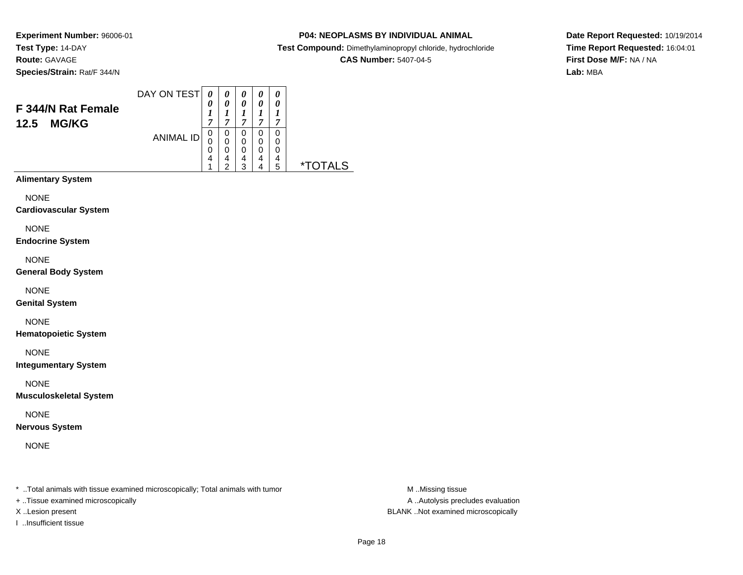# **P04: NEOPLASMS BY INDIVIDUAL ANIMAL**

**Test Compound:** Dimethylaminopropyl chloride, hydrochloride

**CAS Number:** 5407-04-5

**Date Report Requested:** 10/19/2014**Time Report Requested:** 16:04:01**First Dose M/F:** NA / NA**Lab:** MBA

#### DAY ON TEST**F 344/N Rat Female12.5 MG/KG**ANIMAL ID*0 0 1 7*0<br>0<br>0<br>4 1*0 0 1 7*0<br>0<br>0<br>4<br>2 *0 0 1 7* 0 0 0 4 3*0 0 1 7* 0 0 0 4 4*0 0 1 7* 0 00<br>4<br>5 5 \*TOTALS**Alimentary System**

NONE

**Cardiovascular System**

NONE

**Endocrine System**

NONE

**General Body System**

NONE

**Genital System**

NONE

**Hematopoietic System**

NONE

**Integumentary System**

NONE

**Musculoskeletal System**

NONE

**Nervous System**

NONE

\* ..Total animals with tissue examined microscopically; Total animals with tumor **M** ..Missing tissue M ..Missing tissue

+ ..Tissue examined microscopically

I ..Insufficient tissue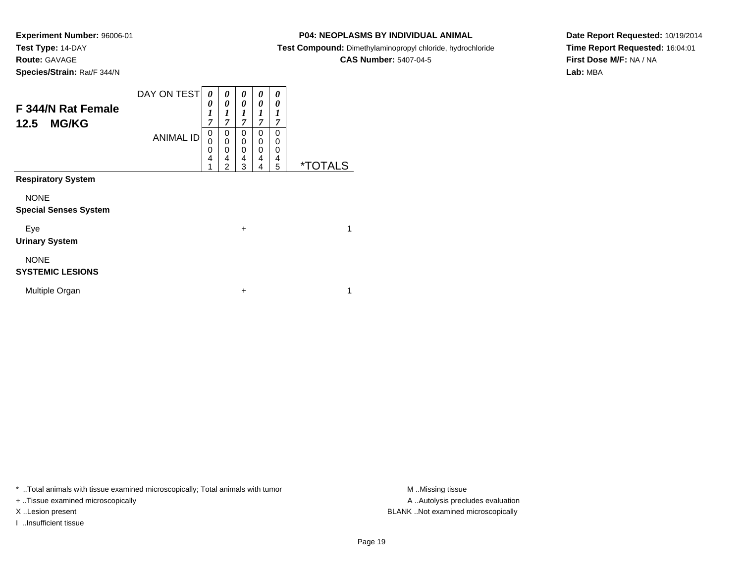**Experiment Number:** 96006-01**Test Type:** 14-DAY**Route:** GAVAGE

# **Species/Strain:** Rat/F 344/N

**P04: NEOPLASMS BY INDIVIDUAL ANIMAL**

**Test Compound:** Dimethylaminopropyl chloride, hydrochloride

**CAS Number:** 5407-04-5

**Date Report Requested:** 10/19/2014**Time Report Requested:** 16:04:01**First Dose M/F:** NA / NA**Lab:** MBA

| F 344/N Rat Female<br><b>MG/KG</b><br>12.5  | DAY ON TEST<br><b>ANIMAL ID</b> | 0<br>0<br>1<br>7<br>$\mathbf 0$<br>0<br>0<br>4<br>1 | 0<br>0<br>1<br>7<br>0<br>$\mathbf 0$<br>0<br>4<br>$\overline{2}$ | 0<br>0<br>1<br>7<br>$\mathbf 0$<br>$\mathbf 0$<br>$\mathbf 0$<br>$\overline{4}$<br>3 | 0<br>0<br>1<br>7<br>0<br>0<br>0<br>4<br>4 | 0<br>0<br>1<br>$\overline{7}$<br>0<br>0<br>0<br>4<br>5 | <i><b>*TOTALS</b></i> |  |
|---------------------------------------------|---------------------------------|-----------------------------------------------------|------------------------------------------------------------------|--------------------------------------------------------------------------------------|-------------------------------------------|--------------------------------------------------------|-----------------------|--|
| <b>Respiratory System</b>                   |                                 |                                                     |                                                                  |                                                                                      |                                           |                                                        |                       |  |
| <b>NONE</b><br><b>Special Senses System</b> |                                 |                                                     |                                                                  |                                                                                      |                                           |                                                        |                       |  |
| Eye<br><b>Urinary System</b>                |                                 |                                                     |                                                                  | $\ddot{}$                                                                            |                                           |                                                        | 1                     |  |
| <b>NONE</b><br><b>SYSTEMIC LESIONS</b>      |                                 |                                                     |                                                                  |                                                                                      |                                           |                                                        |                       |  |
| Multiple Organ                              |                                 |                                                     |                                                                  | $\ddot{}$                                                                            |                                           |                                                        | 1                     |  |

\* ..Total animals with tissue examined microscopically; Total animals with tumor **M** . Missing tissue M ..Missing tissue

+ ..Tissue examined microscopically

I ..Insufficient tissue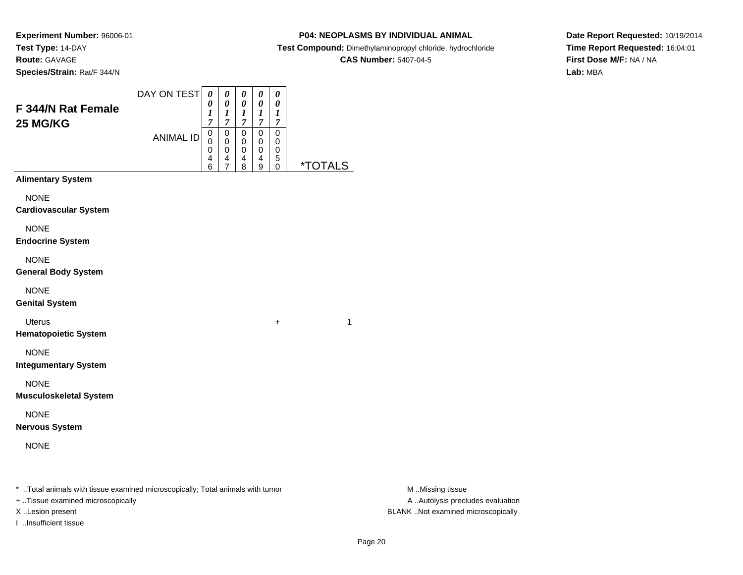# **P04: NEOPLASMS BY INDIVIDUAL ANIMAL**

**Test Compound:** Dimethylaminopropyl chloride, hydrochloride

**CAS Number:** 5407-04-5

**Date Report Requested:** 10/19/2014**Time Report Requested:** 16:04:01**First Dose M/F:** NA / NA**Lab:** MBA

| F 344/N Rat Female<br><b>25 MG/KG</b>        | DAY ON TEST      | 0<br>0<br>$\boldsymbol{l}$<br>$\overline{7}$ | 0<br>$\pmb{\theta}$<br>$\boldsymbol{l}$<br>$\boldsymbol{7}$ | 0<br>$\boldsymbol{\theta}$<br>1<br>$\boldsymbol{7}$ | 0<br>$\boldsymbol{\theta}$<br>$\boldsymbol{l}$<br>$\overline{7}$ | 0<br>0<br>$\boldsymbol{l}$<br>$\overline{7}$ |                              |
|----------------------------------------------|------------------|----------------------------------------------|-------------------------------------------------------------|-----------------------------------------------------|------------------------------------------------------------------|----------------------------------------------|------------------------------|
|                                              | <b>ANIMAL ID</b> | $\mathbf 0$<br>0<br>0<br>4<br>6              | $\pmb{0}$<br>0<br>0<br>$\frac{4}{7}$                        | $\mathbf 0$<br>$\mathbf 0$<br>0<br>4<br>8           | $\mathbf 0$<br>0<br>0<br>4<br>9                                  | 0<br>0<br>$\boldsymbol{0}$<br>5<br>0         | <u><i><b>*TOTALS</b></i></u> |
| <b>Alimentary System</b>                     |                  |                                              |                                                             |                                                     |                                                                  |                                              |                              |
| <b>NONE</b><br><b>Cardiovascular System</b>  |                  |                                              |                                                             |                                                     |                                                                  |                                              |                              |
| <b>NONE</b><br><b>Endocrine System</b>       |                  |                                              |                                                             |                                                     |                                                                  |                                              |                              |
| <b>NONE</b><br><b>General Body System</b>    |                  |                                              |                                                             |                                                     |                                                                  |                                              |                              |
| <b>NONE</b><br><b>Genital System</b>         |                  |                                              |                                                             |                                                     |                                                                  |                                              |                              |
| <b>Uterus</b><br><b>Hematopoietic System</b> |                  |                                              |                                                             |                                                     |                                                                  | +                                            | $\mathbf{1}$                 |
| <b>NONE</b><br><b>Integumentary System</b>   |                  |                                              |                                                             |                                                     |                                                                  |                                              |                              |
| <b>NONE</b><br><b>Musculoskeletal System</b> |                  |                                              |                                                             |                                                     |                                                                  |                                              |                              |
| <b>NONE</b><br><b>Nervous System</b>         |                  |                                              |                                                             |                                                     |                                                                  |                                              |                              |
| <b>NONE</b>                                  |                  |                                              |                                                             |                                                     |                                                                  |                                              |                              |
|                                              |                  |                                              |                                                             |                                                     |                                                                  |                                              |                              |

\* ..Total animals with tissue examined microscopically; Total animals with tumor **M** . Missing tissue M ..Missing tissue

+ ..Tissue examined microscopically

I ..Insufficient tissue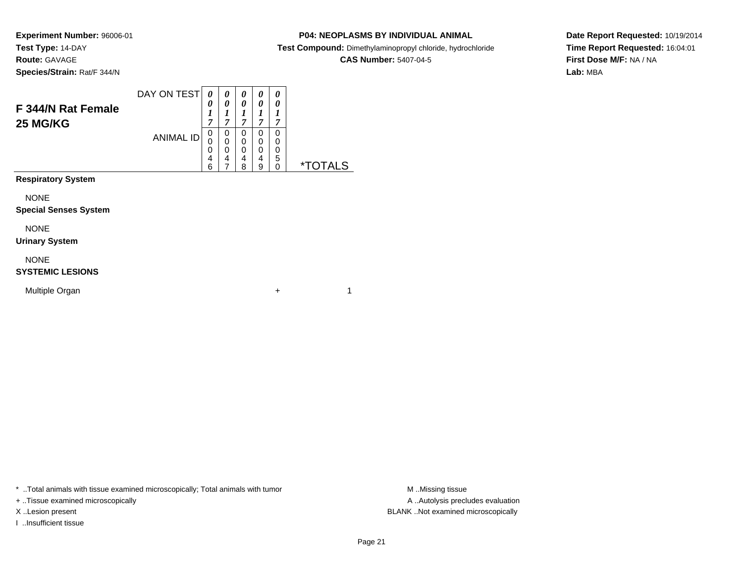# **P04: NEOPLASMS BY INDIVIDUAL ANIMAL**

**Test Compound:** Dimethylaminopropyl chloride, hydrochloride

**CAS Number:** 5407-04-5

**Date Report Requested:** 10/19/2014**Time Report Requested:** 16:04:01**First Dose M/F:** NA / NA**Lab:** MBA

|                                       | DAY ON TEST      | 0<br>0            | 0<br>0      | 0<br>0      | 0<br>0      | 0<br>0 |    |
|---------------------------------------|------------------|-------------------|-------------|-------------|-------------|--------|----|
| F 344/N Rat Female<br><b>25 MG/KG</b> |                  | $\mathbf{r}$<br>7 | 7           | 7           | 7           | 7      |    |
|                                       | <b>ANIMAL ID</b> | 0<br>0            | 0<br>0      | 0<br>0      | 0<br>0      | 0<br>0 |    |
|                                       |                  | 0<br>4<br>6       | 0<br>4<br>⇁ | 0<br>4<br>8 | 0<br>4<br>9 | 0<br>5 | *. |
| <b>Respiratory System</b>             |                  |                   |             |             |             |        |    |

NONE

#### **Special Senses System**

NONE

#### **Urinary System**

NONE

### **SYSTEMIC LESIONS**

Multiple Organn  $+$ 

\* ..Total animals with tissue examined microscopically; Total animals with tumor **M** . Missing tissue M ..Missing tissue

+ ..Tissue examined microscopically

I ..Insufficient tissue

A ..Autolysis precludes evaluation X ..Lesion present BLANK ..Not examined microscopically

 $+$  1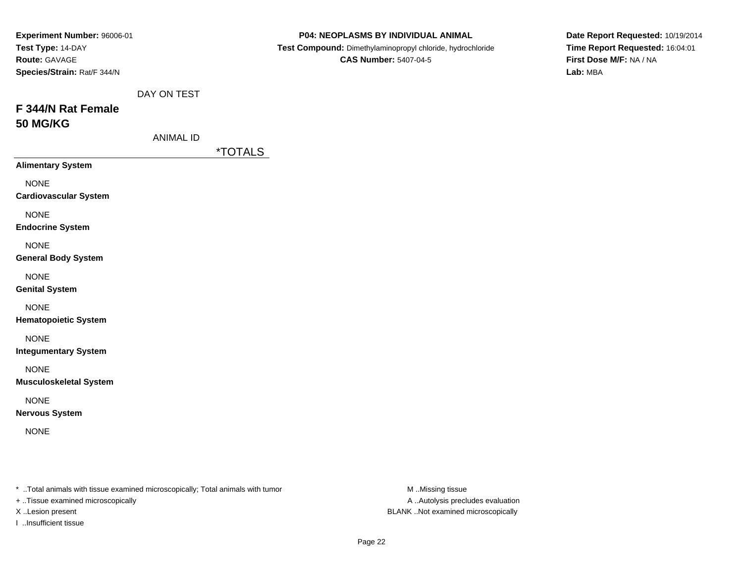| Experiment Number: 96006-01<br>Test Type: 14-DAY<br>Route: GAVAGE<br>Species/Strain: Rat/F 344/N |                                 |                       | P04: NEOPLASMS BY INDIVIDUAL ANIMAL<br>Test Compound: Dimethylaminopropyl chloride, hydrochloride<br><b>CAS Number: 5407-04-5</b> | Date Report Requested: 10/19/2014<br>Time Report Requested: 16:04:01<br>First Dose M/F: NA / NA<br>Lab: MBA |
|--------------------------------------------------------------------------------------------------|---------------------------------|-----------------------|-----------------------------------------------------------------------------------------------------------------------------------|-------------------------------------------------------------------------------------------------------------|
| F 344/N Rat Female<br><b>50 MG/KG</b>                                                            | DAY ON TEST<br><b>ANIMAL ID</b> |                       |                                                                                                                                   |                                                                                                             |
|                                                                                                  |                                 | <i><b>*TOTALS</b></i> |                                                                                                                                   |                                                                                                             |
| <b>Alimentary System</b>                                                                         |                                 |                       |                                                                                                                                   |                                                                                                             |
| <b>NONE</b><br><b>Cardiovascular System</b>                                                      |                                 |                       |                                                                                                                                   |                                                                                                             |
| <b>NONE</b><br><b>Endocrine System</b>                                                           |                                 |                       |                                                                                                                                   |                                                                                                             |
| <b>NONE</b><br><b>General Body System</b>                                                        |                                 |                       |                                                                                                                                   |                                                                                                             |
| <b>NONE</b><br><b>Genital System</b>                                                             |                                 |                       |                                                                                                                                   |                                                                                                             |
| <b>NONE</b><br><b>Hematopoietic System</b>                                                       |                                 |                       |                                                                                                                                   |                                                                                                             |
| <b>NONE</b><br><b>Integumentary System</b>                                                       |                                 |                       |                                                                                                                                   |                                                                                                             |
| <b>NONE</b><br><b>Musculoskeletal System</b>                                                     |                                 |                       |                                                                                                                                   |                                                                                                             |
| <b>NONE</b><br><b>Nervous System</b>                                                             |                                 |                       |                                                                                                                                   |                                                                                                             |
| <b>NONE</b>                                                                                      |                                 |                       |                                                                                                                                   |                                                                                                             |
|                                                                                                  |                                 |                       |                                                                                                                                   |                                                                                                             |

+ ..Tissue examined microscopically

I ..Insufficient tissue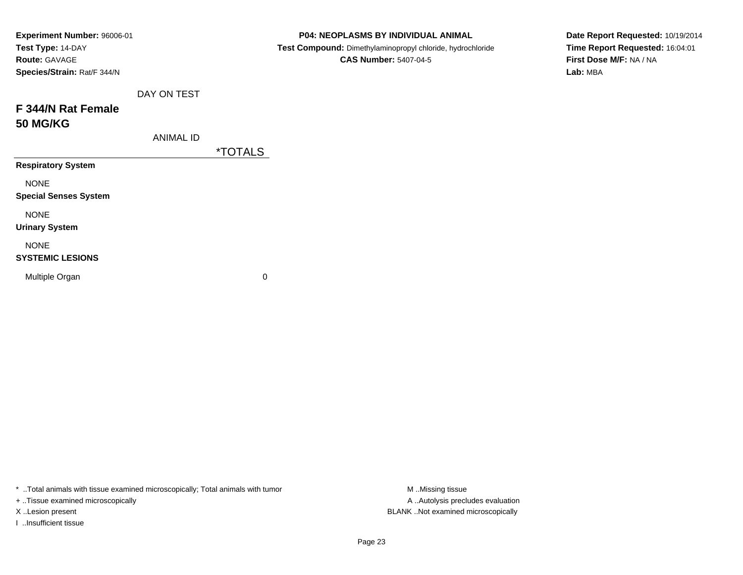| Experiment Number: 96006-01  |                  |                       | P04: NEOPLASMS BY INDIVIDUAL ANIMAL                        | Date Report Requested: 10/19/2014 |
|------------------------------|------------------|-----------------------|------------------------------------------------------------|-----------------------------------|
| Test Type: 14-DAY            |                  |                       | Test Compound: Dimethylaminopropyl chloride, hydrochloride | Time Report Requested: 16:04:01   |
| <b>Route: GAVAGE</b>         |                  |                       | <b>CAS Number: 5407-04-5</b>                               | First Dose M/F: NA / NA           |
| Species/Strain: Rat/F 344/N  |                  |                       |                                                            | Lab: MBA                          |
|                              | DAY ON TEST      |                       |                                                            |                                   |
| F 344/N Rat Female           |                  |                       |                                                            |                                   |
| <b>50 MG/KG</b>              |                  |                       |                                                            |                                   |
|                              | <b>ANIMAL ID</b> |                       |                                                            |                                   |
|                              |                  | <i><b>*TOTALS</b></i> |                                                            |                                   |
| <b>Respiratory System</b>    |                  |                       |                                                            |                                   |
| <b>NONE</b>                  |                  |                       |                                                            |                                   |
| <b>Special Senses System</b> |                  |                       |                                                            |                                   |
| <b>NONE</b>                  |                  |                       |                                                            |                                   |
| <b>Urinary System</b>        |                  |                       |                                                            |                                   |
| <b>NONE</b>                  |                  |                       |                                                            |                                   |
| <b>SYSTEMIC LESIONS</b>      |                  |                       |                                                            |                                   |
| Multiple Organ               |                  | 0                     |                                                            |                                   |
|                              |                  |                       |                                                            |                                   |

+ ..Tissue examined microscopically

I ..Insufficient tissue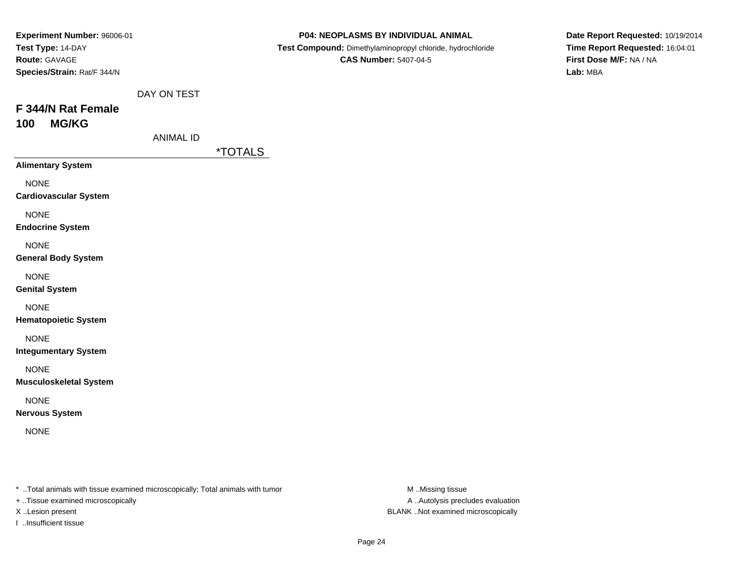| Experiment Number: 96006-01   |                  |                       | P04: NEOPLASMS BY INDIVIDUAL ANIMAL                        | Date Report Requested: 10/19/2014 |
|-------------------------------|------------------|-----------------------|------------------------------------------------------------|-----------------------------------|
| Test Type: 14-DAY             |                  |                       | Test Compound: Dimethylaminopropyl chloride, hydrochloride | Time Report Requested: 16:04:01   |
| Route: GAVAGE                 |                  |                       | <b>CAS Number: 5407-04-5</b>                               | First Dose M/F: NA / NA           |
| Species/Strain: Rat/F 344/N   |                  |                       |                                                            | Lab: MBA                          |
|                               | DAY ON TEST      |                       |                                                            |                                   |
| F 344/N Rat Female            |                  |                       |                                                            |                                   |
| <b>MG/KG</b><br>100           |                  |                       |                                                            |                                   |
|                               | <b>ANIMAL ID</b> |                       |                                                            |                                   |
|                               |                  | <i><b>*TOTALS</b></i> |                                                            |                                   |
| <b>Alimentary System</b>      |                  |                       |                                                            |                                   |
| <b>NONE</b>                   |                  |                       |                                                            |                                   |
| <b>Cardiovascular System</b>  |                  |                       |                                                            |                                   |
| <b>NONE</b>                   |                  |                       |                                                            |                                   |
| <b>Endocrine System</b>       |                  |                       |                                                            |                                   |
| <b>NONE</b>                   |                  |                       |                                                            |                                   |
| <b>General Body System</b>    |                  |                       |                                                            |                                   |
| <b>NONE</b>                   |                  |                       |                                                            |                                   |
| <b>Genital System</b>         |                  |                       |                                                            |                                   |
| <b>NONE</b>                   |                  |                       |                                                            |                                   |
| <b>Hematopoietic System</b>   |                  |                       |                                                            |                                   |
| <b>NONE</b>                   |                  |                       |                                                            |                                   |
| <b>Integumentary System</b>   |                  |                       |                                                            |                                   |
| <b>NONE</b>                   |                  |                       |                                                            |                                   |
| <b>Musculoskeletal System</b> |                  |                       |                                                            |                                   |
| <b>NONE</b>                   |                  |                       |                                                            |                                   |
| <b>Nervous System</b>         |                  |                       |                                                            |                                   |
| <b>NONE</b>                   |                  |                       |                                                            |                                   |
|                               |                  |                       |                                                            |                                   |
|                               |                  |                       |                                                            |                                   |
|                               |                  |                       |                                                            |                                   |

+ ..Tissue examined microscopically

I ..Insufficient tissue